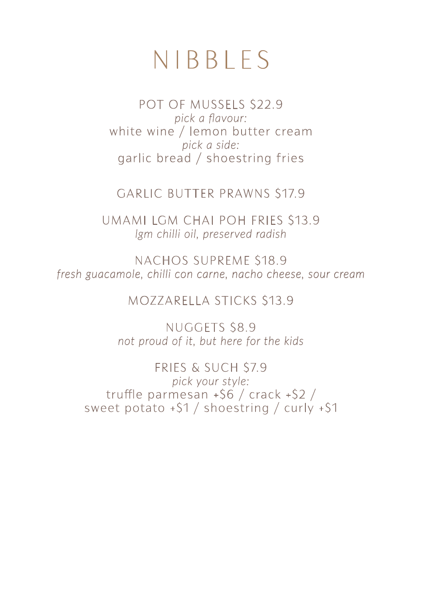## NIBBLES

POT OF MUSSELS \$22.9 *pick a flavour:* white wine / lemon butter cream *pick a side:* garlic bread / shoestring fries

GARLIC BUTTER PRAWNS \$17.9

UMAMI LGM CHAI POH FRIES \$13.9 *lgm chilli oil, preserved radish*

NACHOS SUPREME \$18.9 *fresh guacamole, chilli con carne, nacho cheese, sour cream*

MOZZARELLA STICKS \$13.9

NUGGETS \$8.9 *not proud of it, but here for the kids*

FRIES & SUCH \$7.9 *pick your style:* truffle parmesan  $+$ \$6 / crack  $+$ \$2 / sweet potato +\$1 / shoestring / curly +\$1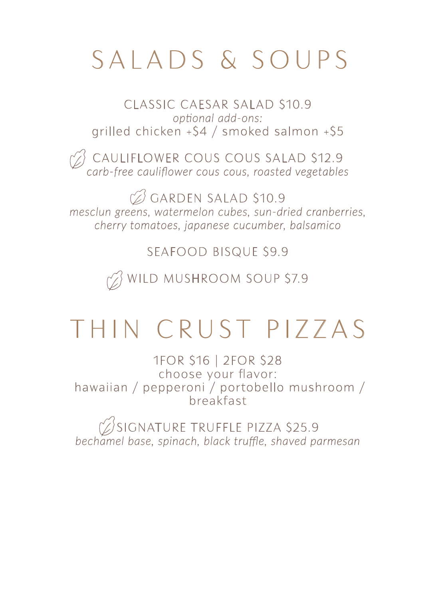# SALADS & SOUPS

CLASSIC CAESAR SALAD \$10.9 *optional add-ons:* grilled chicken +\$4 / smoked salmon +\$5

 $\%$  cauliflower cous cous salad \$12.9 *carb-free cauliflower cous cous, roasted vegetables*

 $\oslash$  GARDEN SALAD \$10.9 *mesclun greens, watermelon cubes, sun-dried cranberries, cherry tomatoes, japanese cucumber, balsamico*

SEAFOOD BISQUE \$9.9

 $\gamma$  wild mushroom soup \$7.9

# THIN CRUST PIZZAS

1FOR \$16 | 2FOR \$28 choose your flavor: hawaiian / pepperoni / portobello mushroom / breakfast

SIGNATURE TRUFFLE PIZZA \$25.9 *bechamel base, spinach, black truffle, shaved parmesan*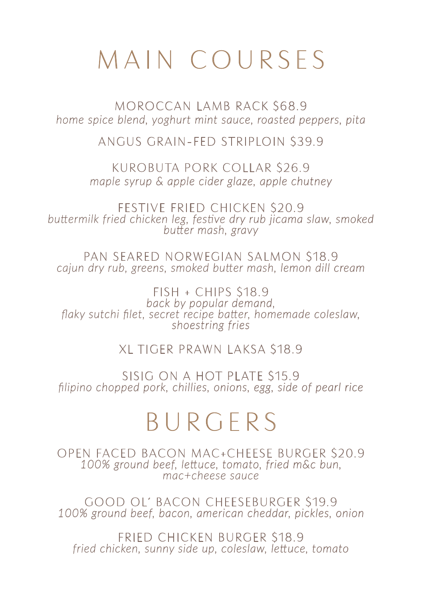# MAIN COURSES

MOROCCAN LAMB RACK \$68.9 *home spice blend, yoghurt mint sauce, roasted peppers, pita*

ANGUS GRAIN-FED STRIPLOIN \$39.9

KUROBUTA PORK COLLAR \$26.9 *maple syrup & apple cider glaze, apple chutney*

FESTIVE FRIED CHICKEN \$20.9 *buttermilk fried chicken leg, festive dry rub jicama slaw, smoked butter mash, gravy*

PAN SEARED NORWEGIAN SALMON \$18.9 *cajun dry rub, greens, smoked butter mash, lemon dill cream*

FISH + CHIPS \$18.9 *back by popular demand, flaky sutchi filet, secret recipe batter, homemade coleslaw, shoestring fries*

XL TIGER PRAWN LAKSA \$18.9

SISIG ON A HOT PLATE \$15.9 *filipino chopped pork, chillies, onions, egg, side of pearl rice*

## BURGERS

OPEN FACED BACON MAC+CHEESE BURGER \$20.9 *100% ground beef, lettuce, tomato, fried m&c bun, mac+cheese sauce*

GOOD OL' BACON CHEESEBURGER \$19.9 *100% ground beef, bacon, american cheddar, pickles, onion*

FRIED CHICKEN BURGER \$18.9 *fried chicken, sunny side up, coleslaw, lettuce, tomato*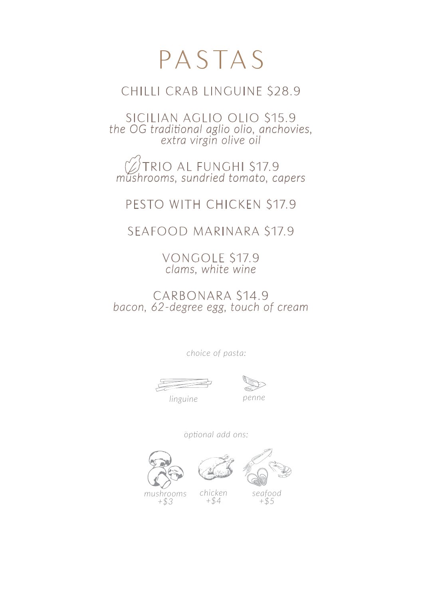## PASTAS

#### CHILLI CRAB LINGUINE \$28.9

SICILIAN AGLIO OLIO \$15.9 *the OG traditional aglio olio, anchovies, extra virgin olive oil*

TRIO AL FUNGHI \$17.9 *mushrooms, sundried tomato, capers*

PESTO WITH CHICKEN \$17.9

SEAFOOD MARINARA \$17.9

VONGOLE \$17.9 *clams, white wine*

CARBONARA \$14.9 *bacon, 62-degree egg, touch of cream*

*choice of pasta:*



*linguine penne*

*optional add ons:*

*chicken +\$4*





*seafood*

*mushrooms +\$3*

*+\$5*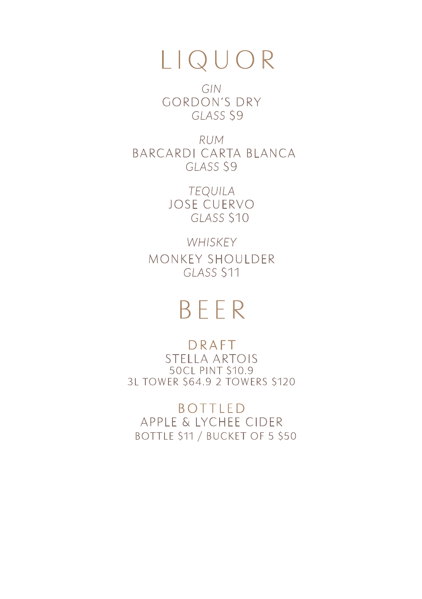## LIQUOR

*GIN* GORDON'S DRY *GLASS* \$9

*RUM* BARCARDI CARTA BLANCA *GLASS* \$9

> *TEQUILA* JOSE CUERVO *GLASS* \$10

*WHISKEY* MONKEY SHOULDER *GLASS* \$11

## BEER

DRAFT STELLA ARTOIS 50CL PINT \$10.9 3L TOWER \$64.9 2 TOWERS \$120

BOTTLED APPLE & LYCHEE CIDER BOTTLE \$11 / BUCKET OF 5 \$50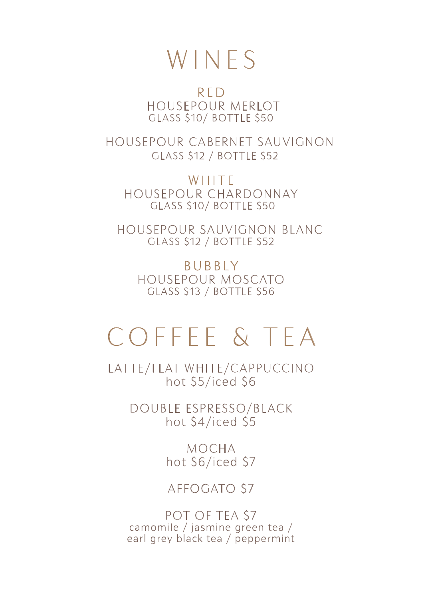### WINES

RED HOUSEPOUR MERLOT GLASS \$10/ BOTTLE \$50

 HOUSEPOUR CABERNET SAUVIGNON GLASS \$12 / BOTTLE \$52

**WHITE** HOUSEPOUR CHARDONNAY GLASS \$10/ BOTTLE \$50

 HOUSEPOUR SAUVIGNON BLANC GLASS \$12 / BOTTLE \$52

BUBBLY HOUSEPOUR MOSCATO GLASS \$13 / BOTTLE \$56

## COFFEE & TEA

LATTE/FLAT WHITE/CAPPUCCINO hot \$5/iced \$6

> DOUBLE ESPRESSO/BLACK hot \$4/iced \$5

> > MOCHA hot \$6/iced \$7

#### AFFOGATO \$7

POT OF TEA \$7 camomile / jasmine green tea / earl grey black tea / peppermint